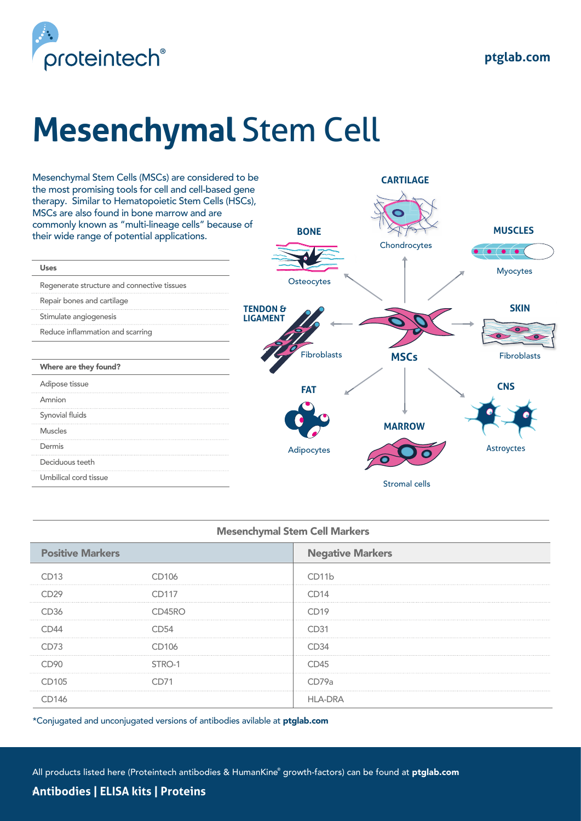

## **Mesenchymal** Stem Cell



| <b>Mesenchymal Stem Cell Markers</b> |        |                         |  |
|--------------------------------------|--------|-------------------------|--|
| <b>Positive Markers</b>              |        | <b>Negative Markers</b> |  |
|                                      | CD106  | CD11h                   |  |
|                                      | CD117  | ∩n14                    |  |
| CD36                                 | CD45RO | CD19                    |  |
|                                      |        | CD31                    |  |
|                                      | CD106  | CD34                    |  |
|                                      | STRO-1 |                         |  |
| CD105                                |        | CD79a                   |  |
|                                      |        |                         |  |

\*Conjugated and unconjugated versions of antibodies avilable at ptglab.com

All products listed here (Proteintech antibodies & HumanKine® growth-factors) can be found at **ptglab.com** 

**Antibodies | ELISA kits | Proteins** ®